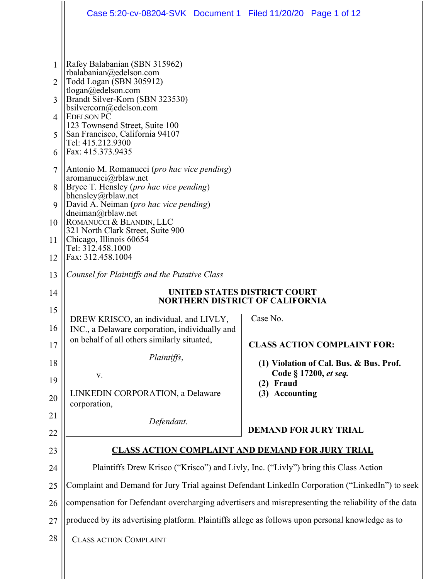|                     | Case 5:20-cv-08204-SVK Document 1 Filed 11/20/20 Page 1 of 12                                                                                                                                                           |                                                                                                     |  |  |
|---------------------|-------------------------------------------------------------------------------------------------------------------------------------------------------------------------------------------------------------------------|-----------------------------------------------------------------------------------------------------|--|--|
|                     |                                                                                                                                                                                                                         |                                                                                                     |  |  |
| $\mathbf{1}$        | Rafey Balabanian (SBN 315962)<br>rbalabanian@edelson.com                                                                                                                                                                |                                                                                                     |  |  |
| $\overline{2}$      | Todd Logan (SBN 305912)<br>tlogan@edelson.com                                                                                                                                                                           |                                                                                                     |  |  |
| 3                   | Brandt Silver-Korn (SBN 323530)<br>bsilvercorn@edelson.com                                                                                                                                                              |                                                                                                     |  |  |
| $\overline{4}$      | <b>EDELSON PC</b><br>123 Townsend Street, Suite 100                                                                                                                                                                     |                                                                                                     |  |  |
| 5                   | San Francisco, California 94107<br>Tel: 415.212.9300<br>Fax: 415.373.9435                                                                                                                                               |                                                                                                     |  |  |
| 6<br>$\overline{7}$ |                                                                                                                                                                                                                         |                                                                                                     |  |  |
| 8                   | Antonio M. Romanucci ( <i>pro hac vice pending</i> )<br>aromanucci@rblaw.net<br>Bryce T. Hensley (pro hac vice pending)                                                                                                 |                                                                                                     |  |  |
| 9                   | bhensley@rblaw.net<br>David A. Neiman (pro hac vice pending)<br>dneiman@rblaw.net<br>ROMANUCCI & BLANDIN, LLC<br>321 North Clark Street, Suite 900<br>Chicago, Illinois 60654<br>Tel: 312.458.1000<br>Fax: 312.458.1004 |                                                                                                     |  |  |
| 10                  |                                                                                                                                                                                                                         |                                                                                                     |  |  |
| 11                  |                                                                                                                                                                                                                         |                                                                                                     |  |  |
| 12                  |                                                                                                                                                                                                                         |                                                                                                     |  |  |
| 13                  | Counsel for Plaintiffs and the Putative Class                                                                                                                                                                           |                                                                                                     |  |  |
|                     | UNITED STATES DISTRICT COURT<br><b>NORTHERN DISTRICT OF CALIFORNIA</b>                                                                                                                                                  |                                                                                                     |  |  |
| 14                  |                                                                                                                                                                                                                         |                                                                                                     |  |  |
| 15                  | DREW KRISCO, an individual, and LIVLY,                                                                                                                                                                                  | Case No.                                                                                            |  |  |
| 16                  | INC., a Delaware corporation, individually and<br>on behalf of all others similarly situated,                                                                                                                           |                                                                                                     |  |  |
| 17                  | Plaintiffs,                                                                                                                                                                                                             | <b>CLASS ACTION COMPLAINT FOR:</b>                                                                  |  |  |
| 18<br>19            | V.                                                                                                                                                                                                                      | (1) Violation of Cal. Bus. & Bus. Prof.<br>Code § 17200, et seq.                                    |  |  |
| 20                  | LINKEDIN CORPORATION, a Delaware                                                                                                                                                                                        | (2) Fraud<br>(3) Accounting                                                                         |  |  |
| 21                  | corporation,                                                                                                                                                                                                            |                                                                                                     |  |  |
| 22                  | Defendant.                                                                                                                                                                                                              | <b>DEMAND FOR JURY TRIAL</b>                                                                        |  |  |
| 23                  |                                                                                                                                                                                                                         | <b>CLASS ACTION COMPLAINT AND DEMAND FOR JURY TRIAL</b>                                             |  |  |
| 24                  | Plaintiffs Drew Krisco ("Krisco") and Livly, Inc. ("Livly") bring this Class Action                                                                                                                                     |                                                                                                     |  |  |
| 25                  |                                                                                                                                                                                                                         | Complaint and Demand for Jury Trial against Defendant LinkedIn Corporation ("LinkedIn") to seek     |  |  |
| 26                  |                                                                                                                                                                                                                         | compensation for Defendant overcharging advertisers and misrepresenting the reliability of the data |  |  |
| 27<br>28            | produced by its advertising platform. Plaintiffs allege as follows upon personal knowledge as to                                                                                                                        |                                                                                                     |  |  |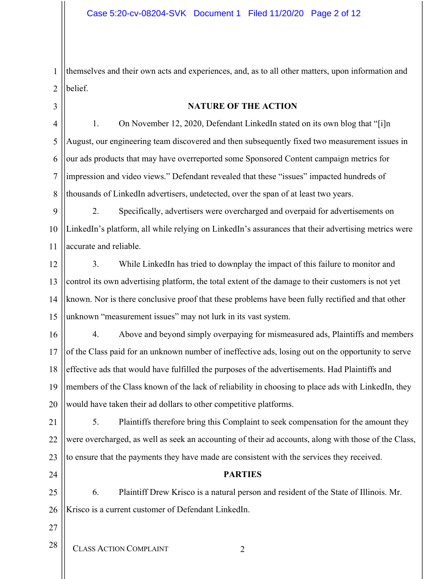1 2 themselves and their own acts and experiences, and, as to all other matters, upon information and belief.

3

### **NATURE OF THE ACTION**

4 5 6 7 8 1. On November 12, 2020, Defendant LinkedIn stated on its own blog that "[i]n August, our engineering team discovered and then subsequently fixed two measurement issues in our ads products that may have overreported some Sponsored Content campaign metrics for impression and video views." Defendant revealed that these "issues" impacted hundreds of thousands of LinkedIn advertisers, undetected, over the span of at least two years.

9 10 11 2. Specifically, advertisers were overcharged and overpaid for advertisements on LinkedIn's platform, all while relying on LinkedIn's assurances that their advertising metrics were accurate and reliable.

12 13 14 15 3. While LinkedIn has tried to downplay the impact of this failure to monitor and control its own advertising platform, the total extent of the damage to their customers is not yet known. Nor is there conclusive proof that these problems have been fully rectified and that other unknown "measurement issues" may not lurk in its vast system.

16 17 18 19 20 4. Above and beyond simply overpaying for mismeasured ads, Plaintiffs and members of the Class paid for an unknown number of ineffective ads, losing out on the opportunity to serve effective ads that would have fulfilled the purposes of the advertisements. Had Plaintiffs and members of the Class known of the lack of reliability in choosing to place ads with LinkedIn, they would have taken their ad dollars to other competitive platforms.

21 22 23 5. Plaintiffs therefore bring this Complaint to seek compensation for the amount they were overcharged, as well as seek an accounting of their ad accounts, along with those of the Class, to ensure that the payments they have made are consistent with the services they received.

24

## **PARTIES**

25 26 6. Plaintiff Drew Krisco is a natural person and resident of the State of Illinois. Mr. Krisco is a current customer of Defendant LinkedIn.

- 27
- CLASS ACTION COMPLAINT 2 28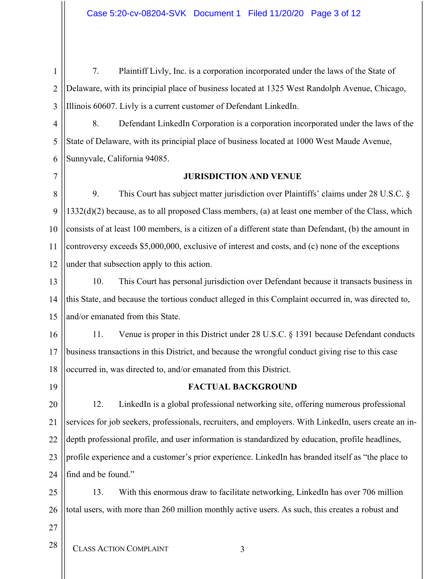1 2 3 7. Plaintiff Livly, Inc. is a corporation incorporated under the laws of the State of Delaware, with its principial place of business located at 1325 West Randolph Avenue, Chicago, Illinois 60607. Livly is a current customer of Defendant LinkedIn.

4 5 6 8. Defendant LinkedIn Corporation is a corporation incorporated under the laws of the State of Delaware, with its principial place of business located at 1000 West Maude Avenue, Sunnyvale, California 94085.

7

#### **JURISDICTION AND VENUE**

8 9 10 11 12 9. This Court has subject matter jurisdiction over Plaintiffs' claims under 28 U.S.C. § 1332(d)(2) because, as to all proposed Class members, (a) at least one member of the Class, which consists of at least 100 members, is a citizen of a different state than Defendant, (b) the amount in controversy exceeds \$5,000,000, exclusive of interest and costs, and (c) none of the exceptions under that subsection apply to this action.

13 14 15 10. This Court has personal jurisdiction over Defendant because it transacts business in this State, and because the tortious conduct alleged in this Complaint occurred in, was directed to, and/or emanated from this State.

16 17 18 11. Venue is proper in this District under 28 U.S.C. § 1391 because Defendant conducts business transactions in this District, and because the wrongful conduct giving rise to this case occurred in, was directed to, and/or emanated from this District.

19

## **FACTUAL BACKGROUND**

20 21 22 23 24 12. LinkedIn is a global professional networking site, offering numerous professional services for job seekers, professionals, recruiters, and employers. With LinkedIn, users create an indepth professional profile, and user information is standardized by education, profile headlines, profile experience and a customer's prior experience. LinkedIn has branded itself as "the place to find and be found."

25 26 13. With this enormous draw to facilitate networking, LinkedIn has over 706 million total users, with more than 260 million monthly active users. As such, this creates a robust and

27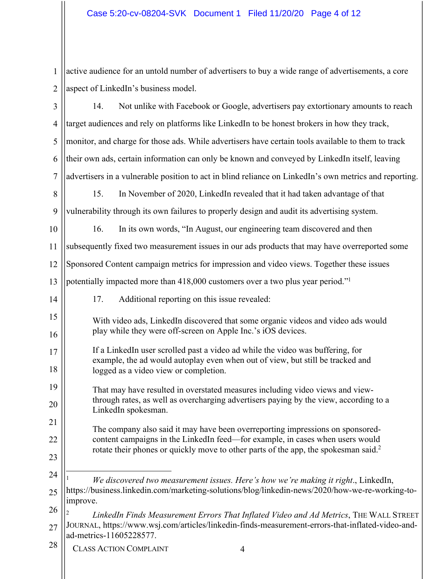1 2  $\parallel$  active audience for an untold number of advertisers to buy a wide range of advertisements, a core aspect of LinkedIn's business model.

| 3              | Not unlike with Facebook or Google, advertisers pay extortionary amounts to reach<br>14.                                                                         |  |  |
|----------------|------------------------------------------------------------------------------------------------------------------------------------------------------------------|--|--|
| $\overline{4}$ | target audiences and rely on platforms like LinkedIn to be honest brokers in how they track,                                                                     |  |  |
| 5              | monitor, and charge for those ads. While advertisers have certain tools available to them to track                                                               |  |  |
| 6              | their own ads, certain information can only be known and conveyed by LinkedIn itself, leaving                                                                    |  |  |
| 7              | advertisers in a vulnerable position to act in blind reliance on LinkedIn's own metrics and reporting.                                                           |  |  |
| 8              | In November of 2020, LinkedIn revealed that it had taken advantage of that<br>15.                                                                                |  |  |
| 9              | vulnerability through its own failures to properly design and audit its advertising system.                                                                      |  |  |
| 10             | 16.<br>In its own words, "In August, our engineering team discovered and then                                                                                    |  |  |
| 11             | subsequently fixed two measurement issues in our ads products that may have overreported some                                                                    |  |  |
| 12             | Sponsored Content campaign metrics for impression and video views. Together these issues                                                                         |  |  |
| 13             | potentially impacted more than 418,000 customers over a two plus year period." <sup>1</sup>                                                                      |  |  |
| 14             | 17.<br>Additional reporting on this issue revealed:                                                                                                              |  |  |
| 15             | With video ads, LinkedIn discovered that some organic videos and video ads would                                                                                 |  |  |
| 16             | play while they were off-screen on Apple Inc.'s iOS devices.                                                                                                     |  |  |
| 17             | If a LinkedIn user scrolled past a video ad while the video was buffering, for<br>example, the ad would autoplay even when out of view, but still be tracked and |  |  |
| 18             | logged as a video view or completion.                                                                                                                            |  |  |
| 19             | That may have resulted in overstated measures including video views and view-                                                                                    |  |  |
| 20             | through rates, as well as overcharging advertisers paying by the view, according to a<br>LinkedIn spokesman.                                                     |  |  |
| 21             | The company also said it may have been overreporting impressions on sponsored-                                                                                   |  |  |
| 22             | content campaigns in the LinkedIn feed—for example, in cases when users would                                                                                    |  |  |
| 23             | rotate their phones or quickly move to other parts of the app, the spokesman said. <sup>2</sup>                                                                  |  |  |
| 24             | We discovered two measurement issues. Here's how we're making it right., LinkedIn,                                                                               |  |  |
| 25             | https://business.linkedin.com/marketing-solutions/blog/linkedin-news/2020/how-we-re-working-to-                                                                  |  |  |
| 26             | improve.<br>LinkedIn Finds Measurement Errors That Inflated Video and Ad Metrics, THE WALL STREET                                                                |  |  |
| 27             | JOURNAL, https://www.wsj.com/articles/linkedin-finds-measurement-errors-that-inflated-video-and-<br>ad-metrics-11605228577.                                      |  |  |
| 28             | <b>CLASS ACTION COMPLAINT</b><br>4                                                                                                                               |  |  |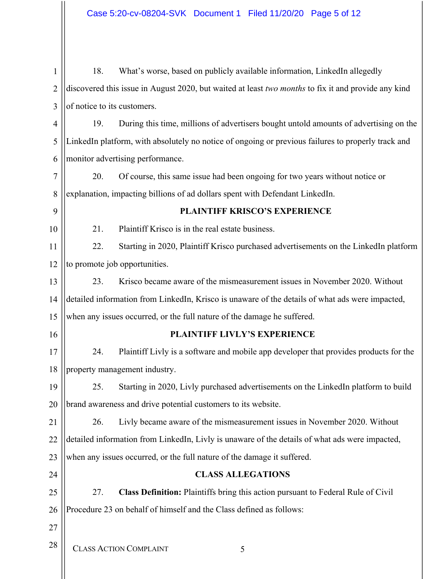CLASS ACTION COMPLAINT 5 1 2 3 4 5 6 7 8 9 10 11 12 13 14 15 16 17 18 19 20 21 22 23 24 25 26 27 28 18. What's worse, based on publicly available information, LinkedIn allegedly discovered this issue in August 2020, but waited at least *two months* to fix it and provide any kind of notice to its customers. 19. During this time, millions of advertisers bought untold amounts of advertising on the LinkedIn platform, with absolutely no notice of ongoing or previous failures to properly track and monitor advertising performance. 20. Of course, this same issue had been ongoing for two years without notice or explanation, impacting billions of ad dollars spent with Defendant LinkedIn. **PLAINTIFF KRISCO'S EXPERIENCE** 21. Plaintiff Krisco is in the real estate business. 22. Starting in 2020, Plaintiff Krisco purchased advertisements on the LinkedIn platform to promote job opportunities. 23. Krisco became aware of the mismeasurement issues in November 2020. Without detailed information from LinkedIn, Krisco is unaware of the details of what ads were impacted, when any issues occurred, or the full nature of the damage he suffered. **PLAINTIFF LIVLY'S EXPERIENCE**  24. Plaintiff Livly is a software and mobile app developer that provides products for the property management industry. 25. Starting in 2020, Livly purchased advertisements on the LinkedIn platform to build brand awareness and drive potential customers to its website. 26. Livly became aware of the mismeasurement issues in November 2020. Without detailed information from LinkedIn, Livly is unaware of the details of what ads were impacted, when any issues occurred, or the full nature of the damage it suffered. **CLASS ALLEGATIONS**  27. **Class Definition:** Plaintiffs bring this action pursuant to Federal Rule of Civil Procedure 23 on behalf of himself and the Class defined as follows: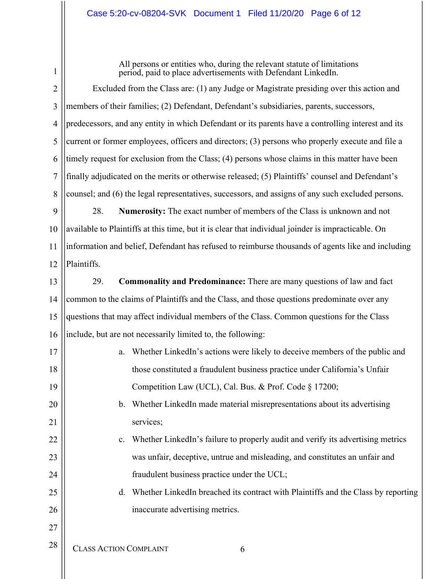## Case 5:20-cv-08204-SVK Document 1 Filed 11/20/20 Page 6 of 12

1

17

All persons or entities who, during the relevant statute of limitations period, paid to place advertisements with Defendant LinkedIn.

2 3 4 5 6 7 8 Excluded from the Class are: (1) any Judge or Magistrate presiding over this action and members of their families; (2) Defendant, Defendant's subsidiaries, parents, successors, predecessors, and any entity in which Defendant or its parents have a controlling interest and its current or former employees, officers and directors; (3) persons who properly execute and file a timely request for exclusion from the Class; (4) persons whose claims in this matter have been finally adjudicated on the merits or otherwise released; (5) Plaintiffs' counsel and Defendant's counsel; and (6) the legal representatives, successors, and assigns of any such excluded persons.

9 10 11 12 28. **Numerosity:** The exact number of members of the Class is unknown and not available to Plaintiffs at this time, but it is clear that individual joinder is impracticable. On information and belief, Defendant has refused to reimburse thousands of agents like and including Plaintiffs.

13 14 15 16 29. **Commonality and Predominance:** There are many questions of law and fact common to the claims of Plaintiffs and the Class, and those questions predominate over any questions that may affect individual members of the Class. Common questions for the Class include, but are not necessarily limited to, the following:

CLASS ACTION COMPLAINT 6 18 19 20 21 22 23 24 25 26 27 28 a. Whether LinkedIn's actions were likely to deceive members of the public and those constituted a fraudulent business practice under California's Unfair Competition Law (UCL), Cal. Bus. & Prof. Code § 17200; b. Whether LinkedIn made material misrepresentations about its advertising services; c. Whether LinkedIn's failure to properly audit and verify its advertising metrics was unfair, deceptive, untrue and misleading, and constitutes an unfair and fraudulent business practice under the UCL; d. Whether LinkedIn breached its contract with Plaintiffs and the Class by reporting inaccurate advertising metrics.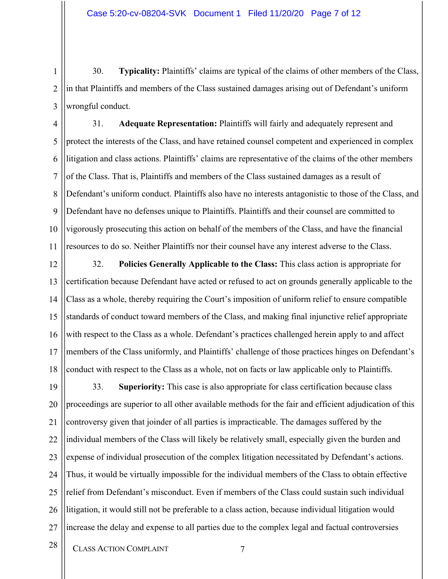1 2 3 30. **Typicality:** Plaintiffs' claims are typical of the claims of other members of the Class, in that Plaintiffs and members of the Class sustained damages arising out of Defendant's uniform wrongful conduct.

4 5 6 7 8 9 10 11 31. **Adequate Representation:** Plaintiffs will fairly and adequately represent and protect the interests of the Class, and have retained counsel competent and experienced in complex litigation and class actions. Plaintiffs' claims are representative of the claims of the other members of the Class. That is, Plaintiffs and members of the Class sustained damages as a result of Defendant's uniform conduct. Plaintiffs also have no interests antagonistic to those of the Class, and Defendant have no defenses unique to Plaintiffs. Plaintiffs and their counsel are committed to vigorously prosecuting this action on behalf of the members of the Class, and have the financial resources to do so. Neither Plaintiffs nor their counsel have any interest adverse to the Class.

12 13 14 15 16 17 18 32. **Policies Generally Applicable to the Class:** This class action is appropriate for certification because Defendant have acted or refused to act on grounds generally applicable to the Class as a whole, thereby requiring the Court's imposition of uniform relief to ensure compatible standards of conduct toward members of the Class, and making final injunctive relief appropriate with respect to the Class as a whole. Defendant's practices challenged herein apply to and affect members of the Class uniformly, and Plaintiffs' challenge of those practices hinges on Defendant's conduct with respect to the Class as a whole, not on facts or law applicable only to Plaintiffs.

19 20 21 22 23 24 25 26 27 33. **Superiority:** This case is also appropriate for class certification because class proceedings are superior to all other available methods for the fair and efficient adjudication of this controversy given that joinder of all parties is impracticable. The damages suffered by the individual members of the Class will likely be relatively small, especially given the burden and expense of individual prosecution of the complex litigation necessitated by Defendant's actions. Thus, it would be virtually impossible for the individual members of the Class to obtain effective relief from Defendant's misconduct. Even if members of the Class could sustain such individual litigation, it would still not be preferable to a class action, because individual litigation would increase the delay and expense to all parties due to the complex legal and factual controversies

28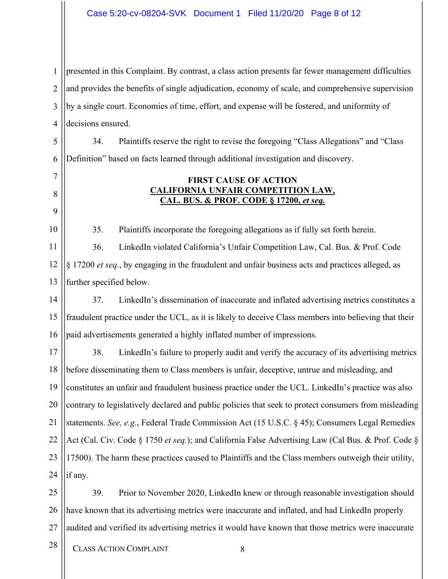#### Case 5:20-cv-08204-SVK Document 1 Filed 11/20/20 Page 8 of 12

1 2 3 4 presented in this Complaint. By contrast, a class action presents far fewer management difficulties and provides the benefits of single adjudication, economy of scale, and comprehensive supervision by a single court. Economies of time, effort, and expense will be fostered, and uniformity of decisions ensured.

5 6 34. Plaintiffs reserve the right to revise the foregoing "Class Allegations" and "Class Definition" based on facts learned through additional investigation and discovery.

## **FIRST CAUSE OF ACTION CALIFORNIA UNFAIR COMPETITION LAW, CAL. BUS. & PROF. CODE § 17200,** *et seq.*

35. Plaintiffs incorporate the foregoing allegations as if fully set forth herein.

11 12 13 36. LinkedIn violated California's Unfair Competition Law, Cal. Bus. & Prof. Code § 17200 *et seq.*, by engaging in the fraudulent and unfair business acts and practices alleged, as further specified below.

14 15 16 37. LinkedIn's dissemination of inaccurate and inflated advertising metrics constitutes a fraudulent practice under the UCL, as it is likely to deceive Class members into believing that their paid advertisements generated a highly inflated number of impressions.

17 18 19 20 21 22 23 24 38. LinkedIn's failure to properly audit and verify the accuracy of its advertising metrics before disseminating them to Class members is unfair, deceptive, untrue and misleading, and constitutes an unfair and fraudulent business practice under the UCL. LinkedIn's practice was also contrary to legislatively declared and public policies that seek to protect consumers from misleading statements. *See, e.g.*, Federal Trade Commission Act (15 U.S.C. § 45); Consumers Legal Remedies Act (Cal. Civ. Code § 1750 *et seq.*); and California False Advertising Law (Cal Bus. & Prof. Code § 17500). The harm these practices caused to Plaintiffs and the Class members outweigh their utility, if any.

25 26 27 39. Prior to November 2020, LinkedIn knew or through reasonable investigation should have known that its advertising metrics were inaccurate and inflated, and had LinkedIn properly audited and verified its advertising metrics it would have known that those metrics were inaccurate

28

7

8

9

10

- CLASS ACTION COMPLAINT 8
	-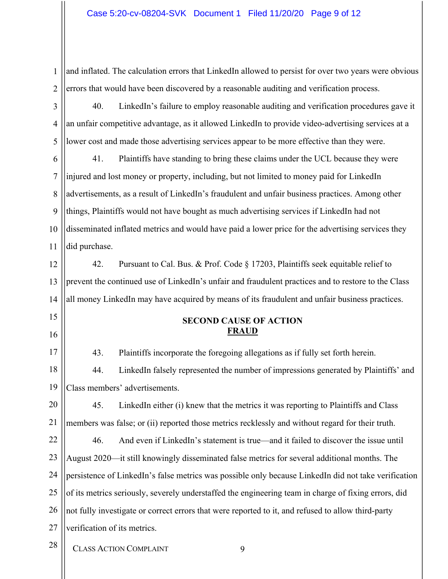1 2 and inflated. The calculation errors that LinkedIn allowed to persist for over two years were obvious errors that would have been discovered by a reasonable auditing and verification process.

3 4 5 40. LinkedIn's failure to employ reasonable auditing and verification procedures gave it an unfair competitive advantage, as it allowed LinkedIn to provide video-advertising services at a lower cost and made those advertising services appear to be more effective than they were.

6 7 8 9 10 11 41. Plaintiffs have standing to bring these claims under the UCL because they were injured and lost money or property, including, but not limited to money paid for LinkedIn advertisements, as a result of LinkedIn's fraudulent and unfair business practices. Among other things, Plaintiffs would not have bought as much advertising services if LinkedIn had not disseminated inflated metrics and would have paid a lower price for the advertising services they did purchase.

12 13 14 42. Pursuant to Cal. Bus. & Prof. Code § 17203, Plaintiffs seek equitable relief to prevent the continued use of LinkedIn's unfair and fraudulent practices and to restore to the Class all money LinkedIn may have acquired by means of its fraudulent and unfair business practices.

- 15
- 16

## **SECOND CAUSE OF ACTION FRAUD**

17 18 43. Plaintiffs incorporate the foregoing allegations as if fully set forth herein. 44. LinkedIn falsely represented the number of impressions generated by Plaintiffs' and

19 Class members' advertisements.

20 21 45. LinkedIn either (i) knew that the metrics it was reporting to Plaintiffs and Class members was false; or (ii) reported those metrics recklessly and without regard for their truth.

22 23 24 25 26 27 46. And even if LinkedIn's statement is true—and it failed to discover the issue until August 2020—it still knowingly disseminated false metrics for several additional months. The persistence of LinkedIn's false metrics was possible only because LinkedIn did not take verification of its metrics seriously, severely understaffed the engineering team in charge of fixing errors, did not fully investigate or correct errors that were reported to it, and refused to allow third-party verification of its metrics.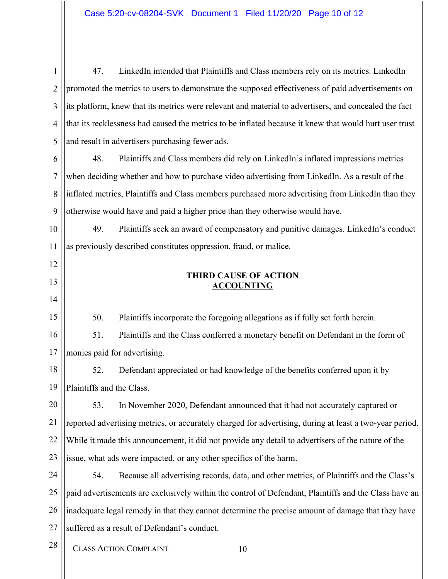1 2 3 4 5 47. LinkedIn intended that Plaintiffs and Class members rely on its metrics. LinkedIn promoted the metrics to users to demonstrate the supposed effectiveness of paid advertisements on its platform, knew that its metrics were relevant and material to advertisers, and concealed the fact that its recklessness had caused the metrics to be inflated because it knew that would hurt user trust and result in advertisers purchasing fewer ads.

6 7 8 9 48. Plaintiffs and Class members did rely on LinkedIn's inflated impressions metrics when deciding whether and how to purchase video advertising from LinkedIn. As a result of the inflated metrics, Plaintiffs and Class members purchased more advertising from LinkedIn than they otherwise would have and paid a higher price than they otherwise would have.

10 11 49. Plaintiffs seek an award of compensatory and punitive damages. LinkedIn's conduct as previously described constitutes oppression, fraud, or malice.

## **THIRD CAUSE OF ACTION ACCOUNTING**

50. Plaintiffs incorporate the foregoing allegations as if fully set forth herein.

16 17 51. Plaintiffs and the Class conferred a monetary benefit on Defendant in the form of monies paid for advertising.

18 19 52. Defendant appreciated or had knowledge of the benefits conferred upon it by Plaintiffs and the Class.

20 21 22 23 53. In November 2020, Defendant announced that it had not accurately captured or reported advertising metrics, or accurately charged for advertising, during at least a two-year period. While it made this announcement, it did not provide any detail to advertisers of the nature of the issue, what ads were impacted, or any other specifics of the harm.

24 25 26 27 54. Because all advertising records, data, and other metrics, of Plaintiffs and the Class's paid advertisements are exclusively within the control of Defendant, Plaintiffs and the Class have an inadequate legal remedy in that they cannot determine the precise amount of damage that they have suffered as a result of Defendant's conduct.

28

12

13

14

15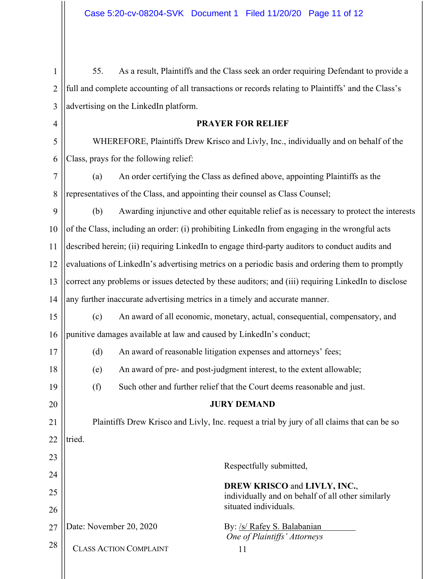| 1  | As a result, Plaintiffs and the Class seek an order requiring Defendant to provide a<br>55.         |                                                                     |                                                                                          |  |  |
|----|-----------------------------------------------------------------------------------------------------|---------------------------------------------------------------------|------------------------------------------------------------------------------------------|--|--|
| 2  | full and complete accounting of all transactions or records relating to Plaintiffs' and the Class's |                                                                     |                                                                                          |  |  |
| 3  | advertising on the LinkedIn platform.                                                               |                                                                     |                                                                                          |  |  |
| 4  | <b>PRAYER FOR RELIEF</b>                                                                            |                                                                     |                                                                                          |  |  |
| 5  | WHEREFORE, Plaintiffs Drew Krisco and Livly, Inc., individually and on behalf of the                |                                                                     |                                                                                          |  |  |
| 6  | Class, prays for the following relief:                                                              |                                                                     |                                                                                          |  |  |
| 7  | (a)                                                                                                 |                                                                     | An order certifying the Class as defined above, appointing Plaintiffs as the             |  |  |
| 8  | representatives of the Class, and appointing their counsel as Class Counsel;                        |                                                                     |                                                                                          |  |  |
| 9  | Awarding injunctive and other equitable relief as is necessary to protect the interests<br>(b)      |                                                                     |                                                                                          |  |  |
| 10 | of the Class, including an order: (i) prohibiting LinkedIn from engaging in the wrongful acts       |                                                                     |                                                                                          |  |  |
| 11 | described herein; (ii) requiring LinkedIn to engage third-party auditors to conduct audits and      |                                                                     |                                                                                          |  |  |
| 12 | evaluations of LinkedIn's advertising metrics on a periodic basis and ordering them to promptly     |                                                                     |                                                                                          |  |  |
| 13 | correct any problems or issues detected by these auditors; and (iii) requiring LinkedIn to disclose |                                                                     |                                                                                          |  |  |
| 14 | any further inaccurate advertising metrics in a timely and accurate manner.                         |                                                                     |                                                                                          |  |  |
| 15 | An award of all economic, monetary, actual, consequential, compensatory, and<br>(c)                 |                                                                     |                                                                                          |  |  |
| 16 |                                                                                                     | punitive damages available at law and caused by LinkedIn's conduct; |                                                                                          |  |  |
| 17 | (d)                                                                                                 |                                                                     | An award of reasonable litigation expenses and attorneys' fees;                          |  |  |
| 18 | (e)                                                                                                 |                                                                     | An award of pre- and post-judgment interest, to the extent allowable;                    |  |  |
| 19 | Such other and further relief that the Court deems reasonable and just.<br>(f)                      |                                                                     |                                                                                          |  |  |
| 20 | <b>JURY DEMAND</b>                                                                                  |                                                                     |                                                                                          |  |  |
| 21 | Plaintiffs Drew Krisco and Livly, Inc. request a trial by jury of all claims that can be so         |                                                                     |                                                                                          |  |  |
| 22 | tried.                                                                                              |                                                                     |                                                                                          |  |  |
| 23 |                                                                                                     |                                                                     |                                                                                          |  |  |
| 24 |                                                                                                     |                                                                     | Respectfully submitted,                                                                  |  |  |
| 25 |                                                                                                     |                                                                     | <b>DREW KRISCO and LIVLY, INC.,</b><br>individually and on behalf of all other similarly |  |  |
| 26 |                                                                                                     |                                                                     | situated individuals.                                                                    |  |  |
| 27 | Date: November 20, 2020                                                                             |                                                                     | By: /s/ Rafey S. Balabanian<br>One of Plaintiffs' Attorneys                              |  |  |
| 28 |                                                                                                     | <b>CLASS ACTION COMPLAINT</b>                                       | 11                                                                                       |  |  |
|    |                                                                                                     |                                                                     |                                                                                          |  |  |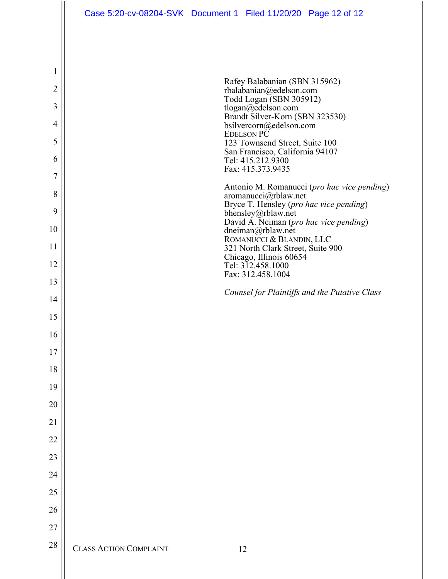| Case 5:20-cv-08204-SVK Document 1 Filed 11/20/20 Page 12 of 12 |  |  |  |
|----------------------------------------------------------------|--|--|--|
|----------------------------------------------------------------|--|--|--|

| $\mathbf{1}$   |                               |                                                                                         |
|----------------|-------------------------------|-----------------------------------------------------------------------------------------|
| $\overline{2}$ |                               | Rafey Balabanian (SBN 315962)<br>rbalabanian@edelson.com                                |
| 3              |                               | Todd Logan (SBN 305912)<br>tlogan@edelson.com                                           |
| $\overline{4}$ |                               | Brandt Silver-Korn (SBN 323530)<br>bsilvercorn@edelson.com                              |
| 5              |                               | <b>EDELSON PC</b><br>123 Townsend Street, Suite 100                                     |
| 6              |                               | San Francisco, California 94107<br>Tel: 415.212.9300                                    |
| $\overline{7}$ |                               | Fax: 415.373.9435                                                                       |
| 8              |                               | Antonio M. Romanucci (pro hac vice pending)<br>aromanucci@rblaw.net                     |
| 9              |                               | Bryce T. Hensley (pro hac vice pending)<br>bhensley@rblaw.net                           |
| 10             |                               | David A. Neiman (pro hac vice pending)<br>dneiman@rblaw.net<br>ROMANUCCI & BLANDIN, LLC |
| 11             |                               | 321 North Clark Street, Suite 900                                                       |
| 12             |                               | Chicago, Illinois 60654<br>Tel: 312.458.1000<br>Fax: 312.458.1004                       |
| 13             |                               |                                                                                         |
| 14             |                               | Counsel for Plaintiffs and the Putative Class                                           |
| 15             |                               |                                                                                         |
| 16             |                               |                                                                                         |
| 17             |                               |                                                                                         |
| 18             |                               |                                                                                         |
| 19             |                               |                                                                                         |
| 20             |                               |                                                                                         |
| 21             |                               |                                                                                         |
| 22             |                               |                                                                                         |
| 23             |                               |                                                                                         |
| 24             |                               |                                                                                         |
| 25             |                               |                                                                                         |
| 26             |                               |                                                                                         |
| 27             |                               |                                                                                         |
| $28\,$         | <b>CLASS ACTION COMPLAINT</b> | 12                                                                                      |

 $\parallel$